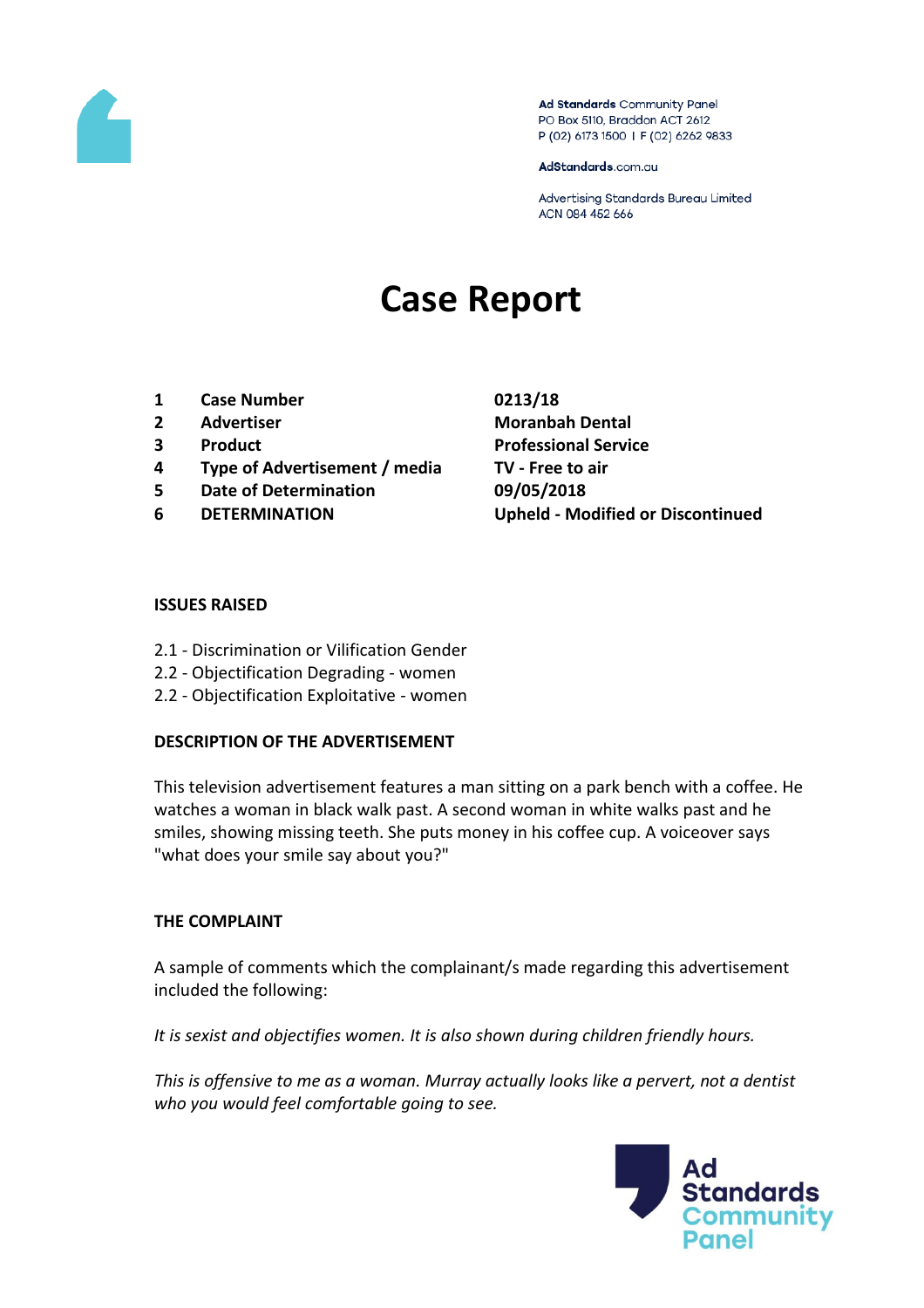

Ad Standards Community Panel PO Box 5110, Braddon ACT 2612 P (02) 6173 1500 | F (02) 6262 9833

AdStandards.com.au

Advertising Standards Bureau Limited ACN 084 452 666

# **Case Report**

- **1 Case Number 0213/18**
- 
- 
- **4 Type of Advertisement / media TV - Free to air**
- **5 Date of Determination 09/05/2018**
- 

**2 Advertiser Moranbah Dental 3 Product Professional Service 6 DETERMINATION Upheld - Modified or Discontinued**

## **ISSUES RAISED**

- 2.1 Discrimination or Vilification Gender
- 2.2 Objectification Degrading women
- 2.2 Objectification Exploitative women

## **DESCRIPTION OF THE ADVERTISEMENT**

This television advertisement features a man sitting on a park bench with a coffee. He watches a woman in black walk past. A second woman in white walks past and he smiles, showing missing teeth. She puts money in his coffee cup. A voiceover says "what does your smile say about you?"

## **THE COMPLAINT**

A sample of comments which the complainant/s made regarding this advertisement included the following:

*It is sexist and objectifies women. It is also shown during children friendly hours.*

*This is offensive to me as a woman. Murray actually looks like a pervert, not a dentist who you would feel comfortable going to see.*

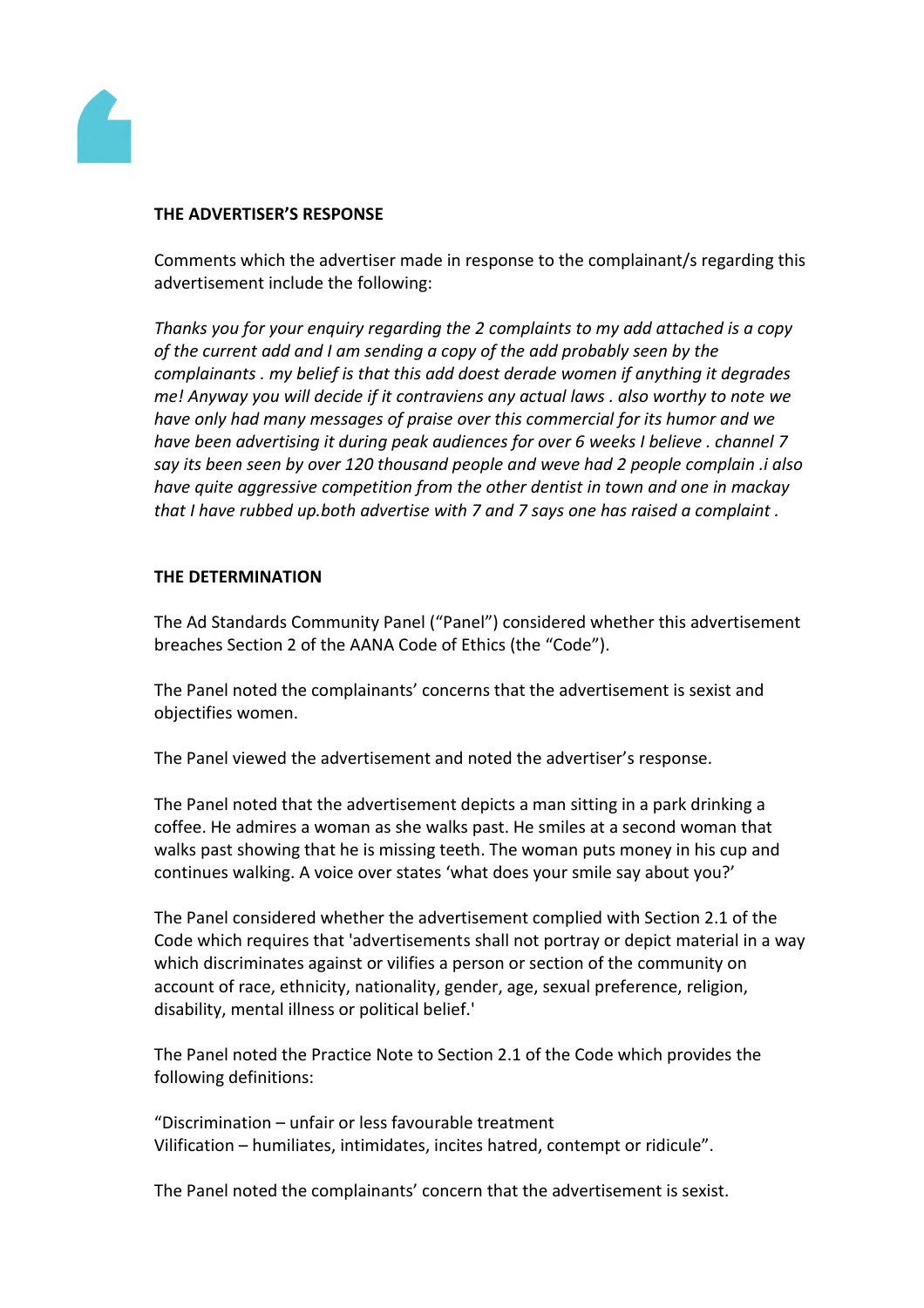

### **THE ADVERTISER'S RESPONSE**

Comments which the advertiser made in response to the complainant/s regarding this advertisement include the following:

*Thanks you for your enquiry regarding the 2 complaints to my add attached is a copy of the current add and I am sending a copy of the add probably seen by the complainants . my belief is that this add doest derade women if anything it degrades me! Anyway you will decide if it contraviens any actual laws . also worthy to note we have only had many messages of praise over this commercial for its humor and we have been advertising it during peak audiences for over 6 weeks I believe . channel 7 say its been seen by over 120 thousand people and weve had 2 people complain .i also have quite aggressive competition from the other dentist in town and one in mackay that I have rubbed up.both advertise with 7 and 7 says one has raised a complaint .* 

## **THE DETERMINATION**

The Ad Standards Community Panel ("Panel") considered whether this advertisement breaches Section 2 of the AANA Code of Ethics (the "Code").

The Panel noted the complainants' concerns that the advertisement is sexist and objectifies women.

The Panel viewed the advertisement and noted the advertiser's response.

The Panel noted that the advertisement depicts a man sitting in a park drinking a coffee. He admires a woman as she walks past. He smiles at a second woman that walks past showing that he is missing teeth. The woman puts money in his cup and continues walking. A voice over states 'what does your smile say about you?'

The Panel considered whether the advertisement complied with Section 2.1 of the Code which requires that 'advertisements shall not portray or depict material in a way which discriminates against or vilifies a person or section of the community on account of race, ethnicity, nationality, gender, age, sexual preference, religion, disability, mental illness or political belief.'

The Panel noted the Practice Note to Section 2.1 of the Code which provides the following definitions:

"Discrimination – unfair or less favourable treatment Vilification – humiliates, intimidates, incites hatred, contempt or ridicule".

The Panel noted the complainants' concern that the advertisement is sexist.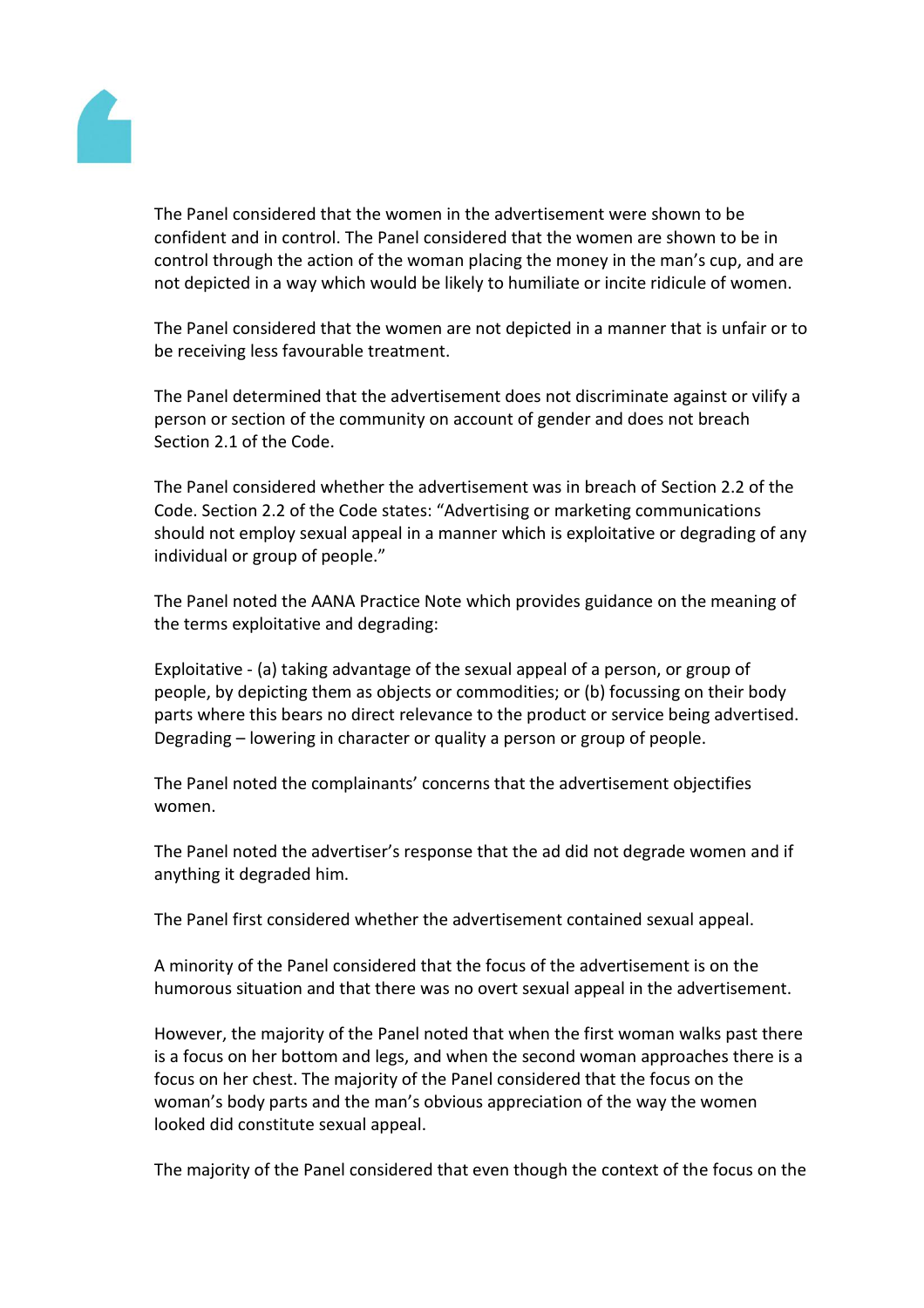

The Panel considered that the women in the advertisement were shown to be confident and in control. The Panel considered that the women are shown to be in control through the action of the woman placing the money in the man's cup, and are not depicted in a way which would be likely to humiliate or incite ridicule of women.

The Panel considered that the women are not depicted in a manner that is unfair or to be receiving less favourable treatment.

The Panel determined that the advertisement does not discriminate against or vilify a person or section of the community on account of gender and does not breach Section 2.1 of the Code.

The Panel considered whether the advertisement was in breach of Section 2.2 of the Code. Section 2.2 of the Code states: "Advertising or marketing communications should not employ sexual appeal in a manner which is exploitative or degrading of any individual or group of people."

The Panel noted the AANA Practice Note which provides guidance on the meaning of the terms exploitative and degrading:

Exploitative - (a) taking advantage of the sexual appeal of a person, or group of people, by depicting them as objects or commodities; or (b) focussing on their body parts where this bears no direct relevance to the product or service being advertised. Degrading – lowering in character or quality a person or group of people.

The Panel noted the complainants' concerns that the advertisement objectifies women.

The Panel noted the advertiser's response that the ad did not degrade women and if anything it degraded him.

The Panel first considered whether the advertisement contained sexual appeal.

A minority of the Panel considered that the focus of the advertisement is on the humorous situation and that there was no overt sexual appeal in the advertisement.

However, the majority of the Panel noted that when the first woman walks past there is a focus on her bottom and legs, and when the second woman approaches there is a focus on her chest. The majority of the Panel considered that the focus on the woman's body parts and the man's obvious appreciation of the way the women looked did constitute sexual appeal.

The majority of the Panel considered that even though the context of the focus on the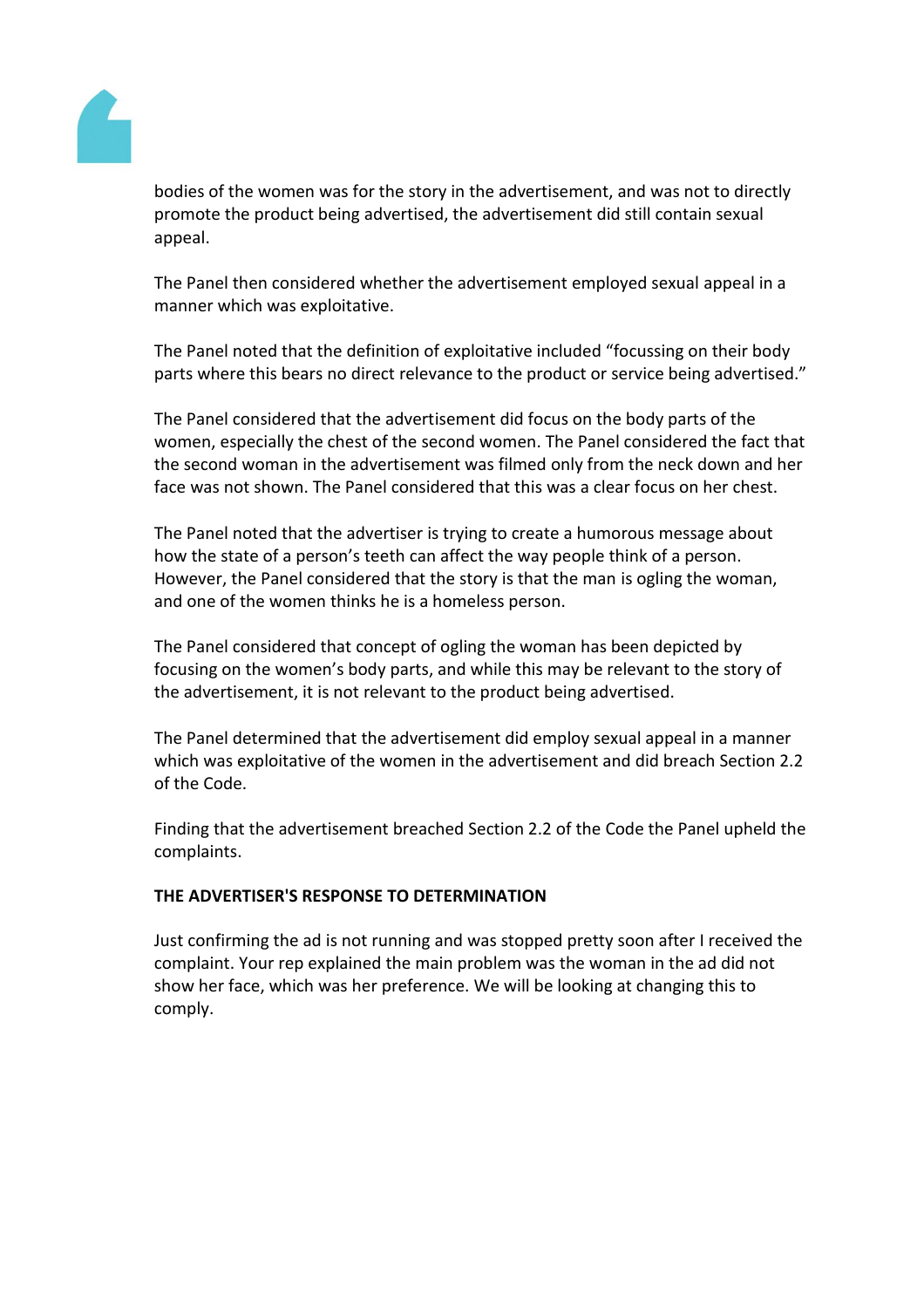

bodies of the women was for the story in the advertisement, and was not to directly promote the product being advertised, the advertisement did still contain sexual appeal.

The Panel then considered whether the advertisement employed sexual appeal in a manner which was exploitative.

The Panel noted that the definition of exploitative included "focussing on their body parts where this bears no direct relevance to the product or service being advertised."

The Panel considered that the advertisement did focus on the body parts of the women, especially the chest of the second women. The Panel considered the fact that the second woman in the advertisement was filmed only from the neck down and her face was not shown. The Panel considered that this was a clear focus on her chest.

The Panel noted that the advertiser is trying to create a humorous message about how the state of a person's teeth can affect the way people think of a person. However, the Panel considered that the story is that the man is ogling the woman, and one of the women thinks he is a homeless person.

The Panel considered that concept of ogling the woman has been depicted by focusing on the women's body parts, and while this may be relevant to the story of the advertisement, it is not relevant to the product being advertised.

The Panel determined that the advertisement did employ sexual appeal in a manner which was exploitative of the women in the advertisement and did breach Section 2.2 of the Code.

Finding that the advertisement breached Section 2.2 of the Code the Panel upheld the complaints.

## **THE ADVERTISER'S RESPONSE TO DETERMINATION**

Just confirming the ad is not running and was stopped pretty soon after I received the complaint. Your rep explained the main problem was the woman in the ad did not show her face, which was her preference. We will be looking at changing this to comply.